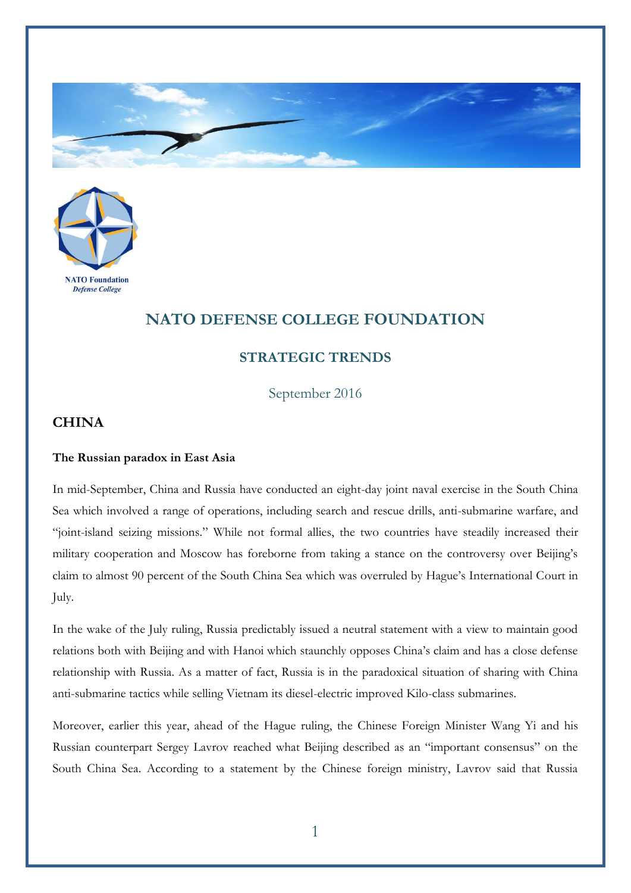



## **NATO DEFENSE COLLEGE FOUNDATION**

## **STRATEGIC TRENDS**

September 2016

## **CHINA**

## **The Russian paradox in East Asia**

In mid-September, China and Russia have conducted an eight-day joint naval exercise in the South China Sea which involved a range of operations, including search and rescue drills, anti-submarine warfare, and "joint-island seizing missions." While not formal allies, the two countries have steadily increased their military cooperation and Moscow has foreborne from taking a stance on the controversy over Beijing's claim to almost 90 percent of the South China Sea which was overruled by Hague's International Court in July.

In the wake of the July ruling, Russia predictably issued a neutral statement with a view to maintain good relations both with Beijing and with Hanoi which staunchly opposes China's claim and has a close defense relationship with Russia. As a matter of fact, Russia is in the paradoxical situation of sharing with China anti-submarine tactics while selling Vietnam its diesel-electric improved Kilo-class submarines.

Moreover, earlier this year, ahead of the Hague ruling, the Chinese Foreign Minister Wang Yi and his Russian counterpart Sergey Lavrov reached what Beijing described as an "important consensus" on the South China Sea. According to a statement by the Chinese foreign ministry, Lavrov said that Russia